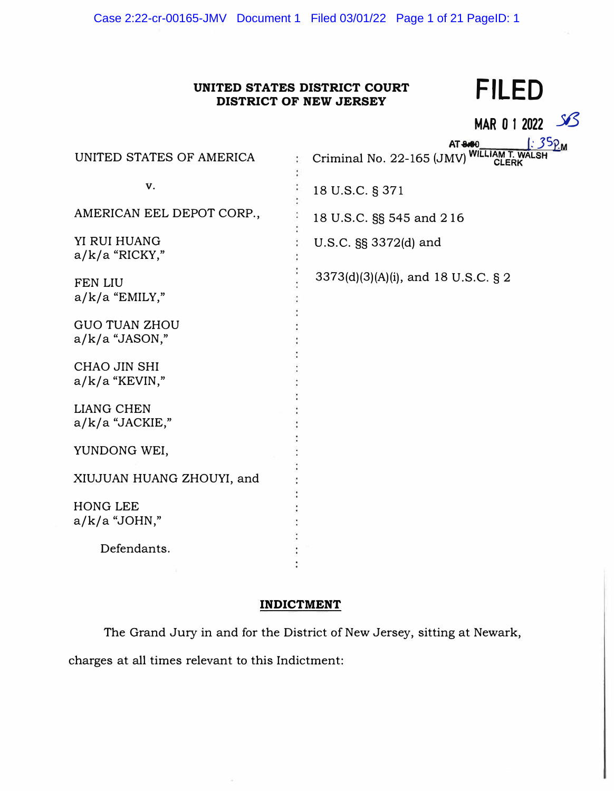# **UNITED STATES DISTRICT COURT DISTRICT OF NEW JERSEY FILED**

**MARO 1 2022** *36* 

|                           | $35P_M$<br>AT 8.60                                         |
|---------------------------|------------------------------------------------------------|
| UNITED STATES OF AMERICA  | Criminal No. 22-165 (JMV) WILLIAM T. WALSH<br><b>CLERK</b> |
| v.                        |                                                            |
|                           | 18 U.S.C. § 371                                            |
| AMERICAN EEL DEPOT CORP., | 18 U.S.C. §§ 545 and 216                                   |
| YI RUI HUANG              | U.S.C. §§ 3372(d) and                                      |
| $a/k/a$ "RICKY,"          |                                                            |
| <b>FEN LIU</b>            | $3373(d)(3)(A)(i)$ , and 18 U.S.C. § 2                     |
| $a/k/a$ "EMILY,"          |                                                            |
|                           |                                                            |
| <b>GUO TUAN ZHOU</b>      |                                                            |
| $a/k/a$ "JASON,"          |                                                            |
| CHAO JIN SHI              |                                                            |
| $a/k/a$ "KEVIN,"          |                                                            |
|                           |                                                            |
| <b>LIANG CHEN</b>         |                                                            |
| $a/k/a$ "JACKIE,"         |                                                            |
|                           |                                                            |
| YUNDONG WEI,              |                                                            |
| XIUJUAN HUANG ZHOUYI, and |                                                            |
|                           |                                                            |
| <b>HONG LEE</b>           |                                                            |
| $a/k/a$ "JOHN,"           |                                                            |
|                           |                                                            |
| Defendants.               |                                                            |
|                           |                                                            |

# **INDICTMENT**

The Grand Jury in and for the District of New Jersey, sitting at Newark, charges at all times relevant to this Indictment: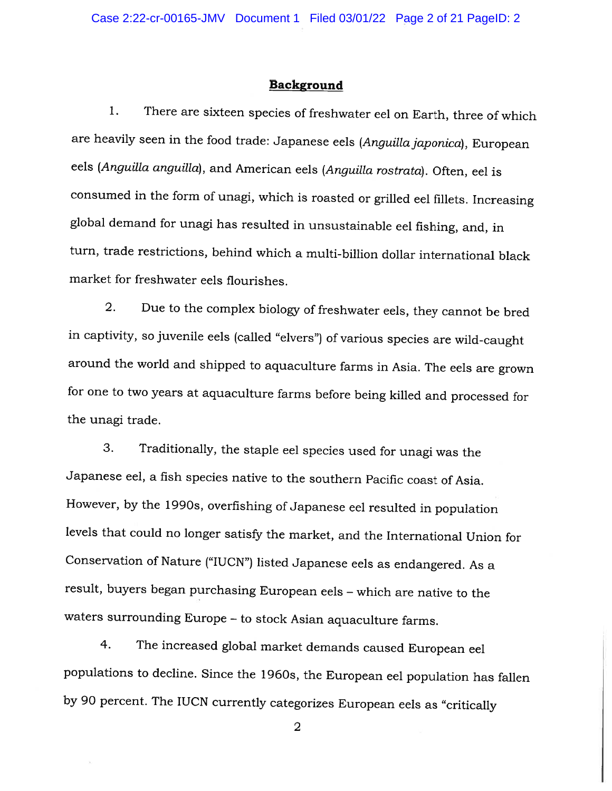#### Background

1. There are sixteen species of freshwater eel on Earth, three of which are heavily seen in the food trade: Japanese eels (Anguilla japonica), European eels (Anguilla anguilla), and American eels (Anguilla rostrata). Often, eel is consumed in the form of unagi, which is roasted or grilled eel fillets. Increasing <sup>g</sup>lobal demand for unag<sup>i</sup> has resulted in unsustainable eel fishing, and, in turn, trade restrictions, behind which <sup>a</sup> multi-billion dollar international black market for freshwater eels flourishes.

2. Due to the complex biology of freshwater eels, they cannot be bred in captivity, so juvenile eels (called "elvers") of various species are wild-caught around the world and shipped to aquaculture farms in Asia. The eels are grown for one to two years at aquaculture farms before being killed and processed for the unagi trade.

3. Traditionally, the staple eel species used for unag<sup>i</sup> was the Japanese eel, <sup>a</sup> fish species native to the southern Pacific coast of Asia. However, by the 1990s, overfishing of Japanese eel resulted in population levels that could no longer satisfy the market, and the International Union for Conservation of Nature ("IUCN") listed Japanese eels as endangered. As <sup>a</sup> result, buyers began purchasing European eels — which are native to the waters surrounding Europe — to stock Asian aquaculture farms.

4. The increased <sup>g</sup>lobal market demands caused European eel populations to decline. Since the 1960s, the European eel population has fallen by <sup>90</sup> percent. The IUCN currently categorizes European eels as "critically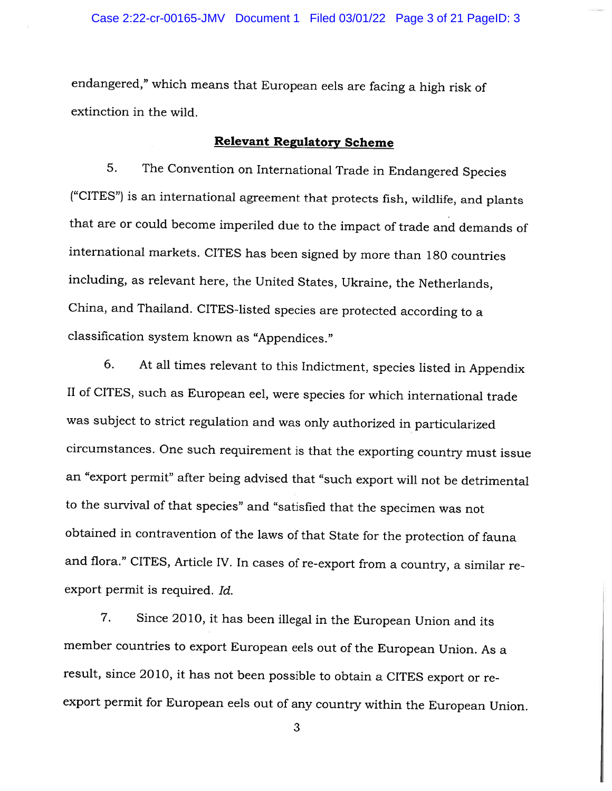endangered," which means that European eels are facing <sup>a</sup> high risk of extinction in the wild.

# Relevant Regulatory Scheme

5. The Convention on International Trade in Endangered Species ("CITES") is an international agreement that protects fish, wildlife, and <sup>p</sup>lants that are or could become imperiled due to the impact of trade and demands of international markets. CITES has been signed by more than <sup>180</sup> countries including, as relevant here, the United States, Ukraine, the Netherlands, China, and Thailand. CITES-listed species are protected according to <sup>a</sup> classification system known as "Appendices."

6. At all times relevant to this Indictment, species listed in Appendix II of CITES, such as European eel, were species for which international trade was subject to strict regulation and was only authorized in particularized circumstances. One such requirement is that the exporting country must issue an "export permit" after being advised that "such export will not be detrimental to the survival of that species" and "satisfied that the specimen was not obtained in contravention of the laws of that State for the protection of fauna and flora." CITES, Article IV. In cases of re-export from <sup>a</sup> country, <sup>a</sup> similar re export permit is required. Id.

7. Since 2010, it has been illegal in the European Union and its member countries to export European eels out of the European Union. As <sup>a</sup> result, since 2010, it has not been possible to obtain <sup>a</sup> CITES export or re export permit for European eels out of any country within the European Union.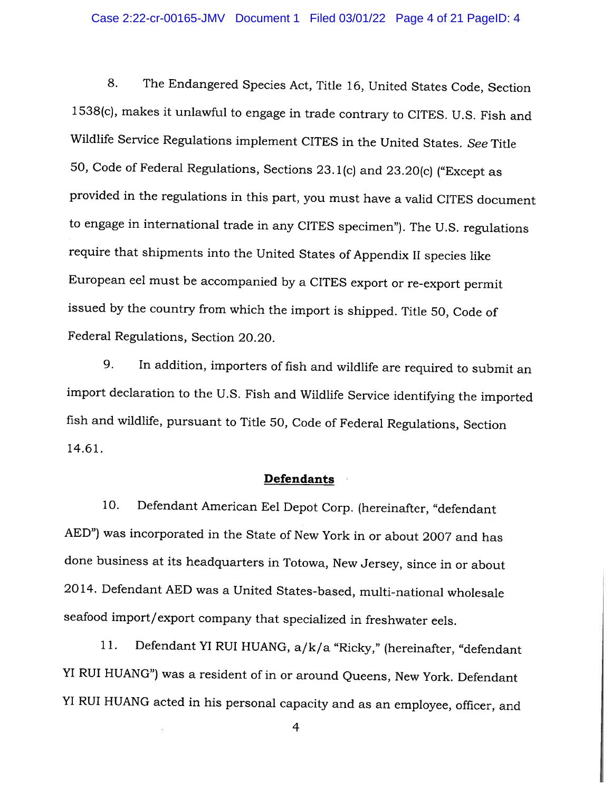8. The Endangered Species Act, Title 16, United States Code, Section 1538(c), makes it unlawful to engage in trade contrary to CITES. U.S. Fish and Wildlife Service Regulations implement CITES in the United States. See Title 50, Code of Federal Regulations, Sections 23.1(c) and 23.20(c) ("Except as provided in the regulations in this part, you must have <sup>a</sup> valid CITES document to engage in international trade in any CITES specimen"). The U.S. regulations require that shipments into the United States of Appendix II species like European eel must be accompanied by <sup>a</sup> CITES export or re-export permit issued by the country from which the import is shipped. Title 50, Code of Federal Regulations, Section 20.20.

9. In addition, importers of fish and wildlife are required to submit an import declaration to the U.S. Fish and Wildlife Service identifying the imported fish and wildlife, pursuant to Title 50, Code of Federal Regulations, Section 14.61.

#### Defendants

10. Defendant American Eel Depot Corp. (hereinafter, "defendant AED") was incorporated in the State of New York in or about <sup>2007</sup> and has done business at its headquarters in Totowa, New Jersey, since in or about 2014. Defendant AED was <sup>a</sup> United States-based, multi-national wholesale seafood import/export company that specialized in freshwater eels.

11. Defendant YI RUI HUANG, a/k/a "Ricky," (hereinafter, "defendant Yl RUT HUANG") was <sup>a</sup> resident of in or around Queens, New York. Defendant YI RUI HUANG acted in his personal capacity and as an employee, officer, and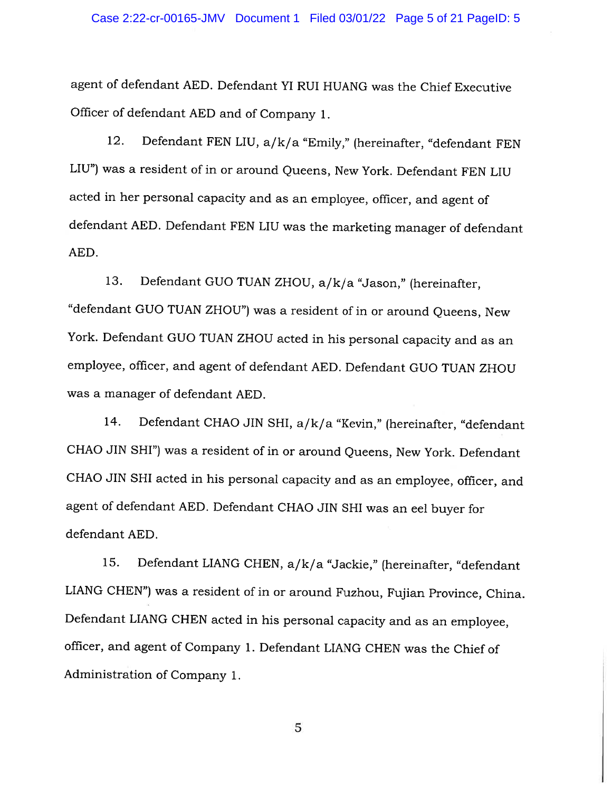agent of defendant AED. Defendant YT RUT HUANG was the Chief Executive Officer of defendant AED and of Company 1.

12. Defendant FEN LIU, a/k/a "Emily," (hereinafter, "defendant FEN LIU") was <sup>a</sup> resident of in or around Queens, New York. Defendant FEN LIU acted in her personal capacity and as an employee, officer, and agent of defendant AED. Defendant FEN LIU was the marketing manager of defendant AED.

13. Defendant QUO TUAN ZHOU, a/k/a "Jason," (hereinafter, "defendant QUO TUAN ZHOU") was <sup>a</sup> resident of in or around Queens, New York. Defendant QUO TUAN ZHOU acted in his personal capacity and as an employee, officer, and agent of defendant AED. Defendant QUO TUAN ZHOU was <sup>a</sup> manager of defendant AED.

14. Defendant CHAO JIN SRI, a/k/a "Kevin," (hereinafter, "defendant CHAO JIN SHI") was <sup>a</sup> resident of in or around Queens, New York. Defendant CHAO JIN SHI acted in his personal capacity and as an employee, officer, and agent of defendant AED. Defendant CHAO JIN SHI was an eel buyer for defendant AED.

15. Defendant LIANG CHEN, a/k/a "Jackie," (hereinafter, "defendant LIANQ CHEN") was <sup>a</sup> resident of in or around Fuzhou, Fujian Province, China. Defendant LIANG CHEN acted in his personal capacity and as an employee, officer, and agent of Company 1. Defendant LIANG CHEN was the Chief of Administration of Company 1.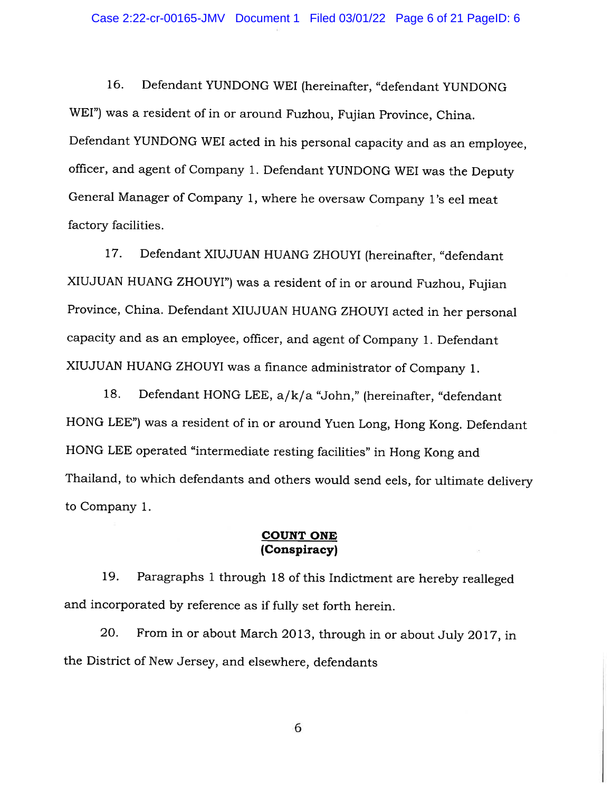16. Defendant YUNDONG WET (hereinafter, "defendant YUNDONG WET") was <sup>a</sup> resident of in or around Fuzhou, Fujian Province, China. Defendant YUNDONG WET acted in his personal capacity and as an employee, officer, and agent of Company 1. Defendant YUNDONG WET was the Deputy General Manager of Company 1, where he oversaw Company l's eel meat factory facilities.

17. Defendant XIUJUAN HUANG ZHOUYI (hereinafter, "defendant XIUJUAN HUANG ZHOUYI") was <sup>a</sup> resident of in or around Fuzhou, Fujian Province, China. Defendant XIUJUAN HUANG ZHOUYI acted in her personal capacity and as an employee, officer, and agent of Company 1. Defendant XIUJUAN HUANG ZHOUYT was <sup>a</sup> finance administrator of Company 1.

18. Defendant HONG LEE, a/k/a "John," (hereinafter, "defendant HONG LEE") was <sup>a</sup> resident of in or around Yuen Long, Hong Kong. Defendant HONG LEE operated "intermediate resting facilities" in Hong Kong and Thailand, to which defendants and others would send eels, for ultimate delivery to Company 1.

#### COUNT ONE (Conspiracy)

19. Paragraphs <sup>I</sup> through <sup>18</sup> of this Indictment are hereby realleged and incorporated by reference as if fully set forth herein.

20. From in or about March 2013, through in or about July 2017, in the District of New Jersey, and elsewhere, defendants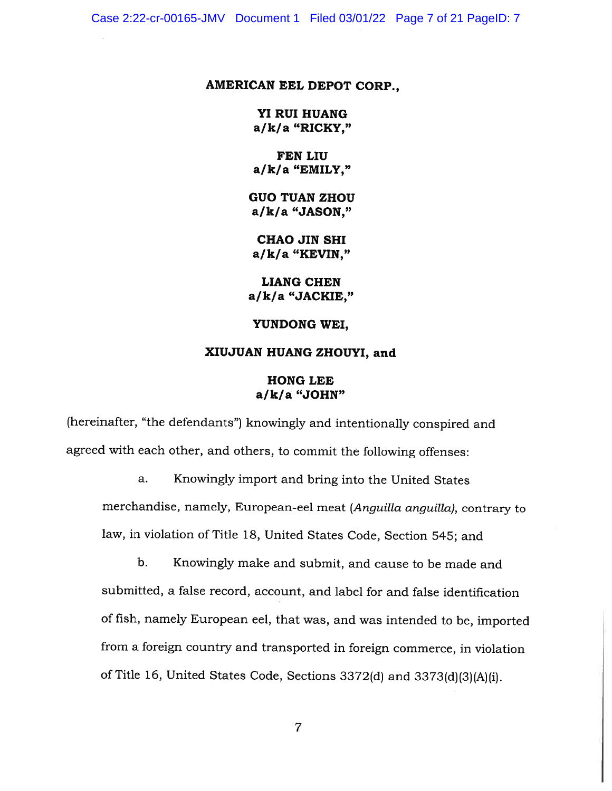Case 2:22-cr-00165-JMV Document 1 Filed 03/01/22 Page 7 of 21 PageID: 7

#### AMERICAN EEL DEPOT CORP.,

YI RUI HUANG a/k/a "RICKY,"

FEN LIU a/k/a "EMILY,"

GUO TUAN ZHOU a/k/a "JASON,"

CHAO JIN SHI a/k/a "KEVIN,"

LIANG CHEN a/k/a "JACKIE,"

YUNDONG WEI,

#### XIUJUAN HUANG ZHOUYI, and

### HONG LEE a/k/a "JOHN"

(hereinafter, "the defendants") knowingly and intentionally conspired and agreed with each other, and others, to commit the following offenses:

a. Knowingly import and bring into the United States merchandise, namely, European-eel meat (Anguilla anguilla), contrary to law, in violation of Title 18, United States Code, Section 545; and

b. Knowingly make and submit, and cause to be made and submitted, <sup>a</sup> false record, account, and label for and false identification of fish, namely European eel, that was, and was intended to be, imported from <sup>a</sup> foreign country and transported in foreign commerce, in violation of Title 16, United States Code, Sections 3372(d) and 3373(d)(3)(A)(i).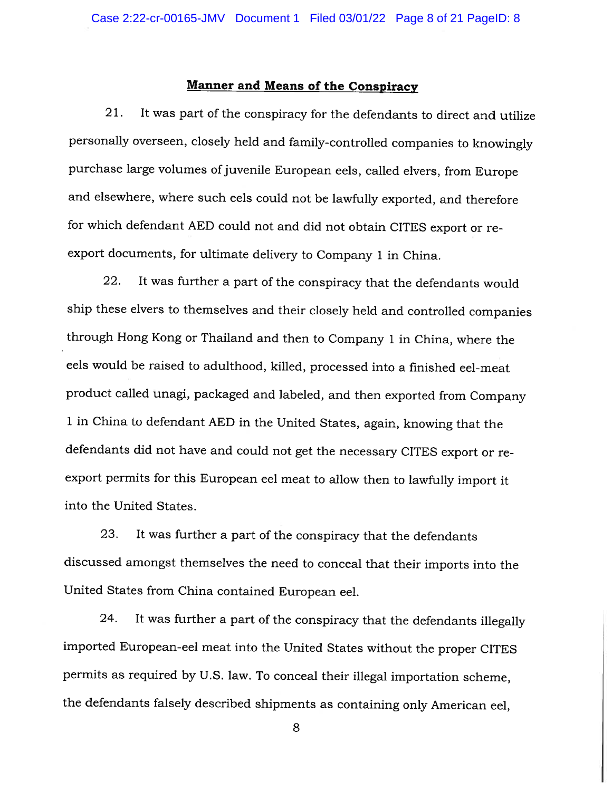#### Manner and Means of the Conspiracy

21. It was part of the conspiracy for the defendants to direct and utilize personally overseen, closely held and family-controlled companies to knowingly purchase large volumes of juvenile European eels, called elvers, from Europe and elsewhere, where such eels could not be lawfully exported, and therefore for which defendant AED could not and did not obtain CITES export or re export documents, for ultimate delivery to Company <sup>1</sup> in China.

22. It was further <sup>a</sup> part of the conspiracy that the defendants would ship these dyers to themselves and their closely held and controlled companies through Hong Kong or Thailand and then to Company <sup>1</sup> in China, where the eels would be raised to adulthood, killed, processed into <sup>a</sup> finished eel-meat product called unagi, packaged and labeled, and then exported from Company <sup>1</sup> in China to defendant AED in the United States, again, knowing that the defendants did not have and could not get the necessary CITES export or re export permits for this European eel meat to allow then to lawfully import it into the United States.

23. It was further <sup>a</sup> part of the conspiracy that the defendants discussed amongst themselves the need to conceal that their imports into the United States from China contained European eel.

24. It was further <sup>a</sup> part of the conspiracy that the defendants illegally imported European-eel meat into the United States without the proper CITES permits as required by U.S. law. To conceal their illegal importation scheme, the defendants falsely described shipments as containing only American eel,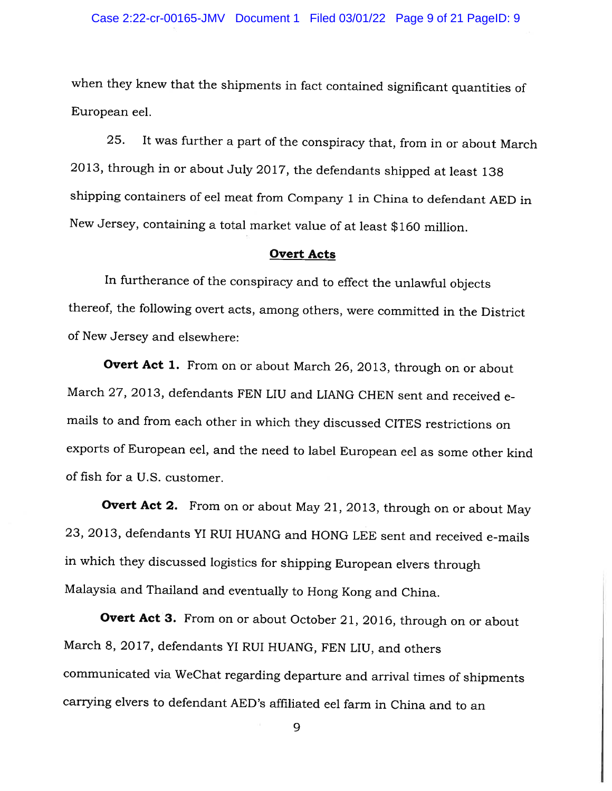#### Case 2:22-cr-00165-JMV Document 1 Filed 03/01/22 Page 9 of 21 PageID: 9

when they knew that the shipments in fact contained significant quantities of European eel.

25. It was further <sup>a</sup> part of the conspiracy that, from in or about March 2013, through in or about July 2017, the defendants shipped at least <sup>138</sup> shipping containers of eel meat from Company <sup>1</sup> in China to defendant AED in New Jersey, containing <sup>a</sup> total market value of at least \$160 million.

#### Overt Acts

In furtherance of the conspiracy and to effect the unlawful objects thereof, the following overt acts, among others, were committed in the District of New Jersey and elsewhere:

Overt Act 1. From on or about March 26, 2013, through on or about March 27, 2013, defendants FEN LIU and LIANG CHEN sent and received <sup>e</sup> mails to and from each other in which they discussed CITES restrictions on exports of European eel, and the need to label European eel as some other kind of fish for <sup>a</sup> U.S. customer.

Overt Act 2. From on or about May 21, 2013, through on or about May 23, 2013, defendants Yl RUT HUANG and HONG LEE sent and received e-mails in which they discussed logistics for shipping European dyers through Malaysia and Thailand and eventually to Hong Kong and China.

Overt Act<sup>3</sup>. From on or about October 21, 2016, through on or about March 8, 2017, defendants YT RUT HUANG, FEN LIU, and others communicated via WeChat regarding departure and arrival times of shipments carrying dyers to defendant AED's affiliated eel farm in China and to an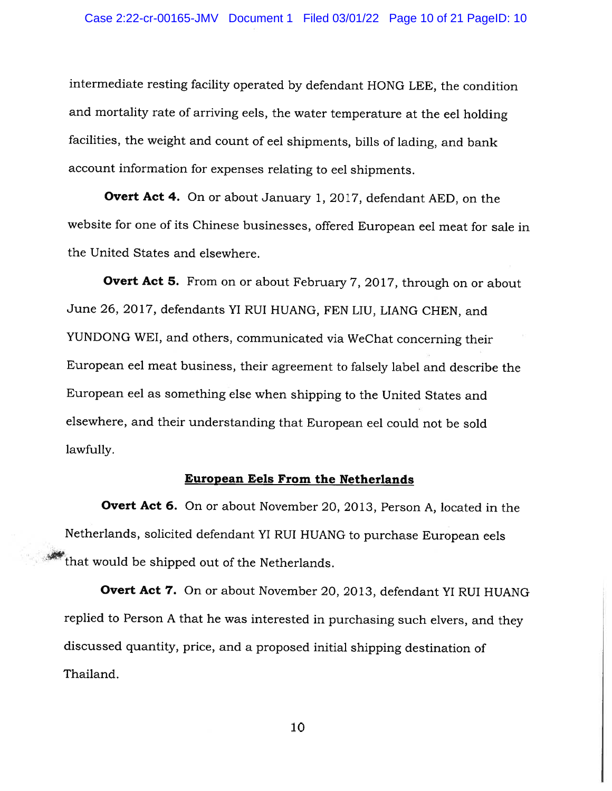intermediate resting facility operated by defendant HONG LEE, the condition and mortality rate of arriving eels, the water temperature at the eel holding facilities, the weight and count of eel shipments, bills of lading, and bank account information for expenses relating to eel shipments.

Overt Act 4. On or about January 1, 2017, defendant AED, on the website for one of its Chinese businesses, offered European eel meat for sale in the United States and elsewhere.

Overt Act 5. From on or about February 7, 2017, through on or about June 26, 2017, defendants YI RUI HUANG, FEN LIU, LIANG CHEN, and YUNDONG WEI, and others, communicated via WeChat concerning their European eel meat business, their agreement to falsely label and describe the European eel as something else when shipping to the United States and elsewhere, and their understanding that European eel could not be sold lawfully.

#### European Eels From the Netherlands

Overt Act 6. On or about November 20, 2013, Person A, located in the Netherlands, solicited defendant YT RUT HUANG to purchase European eels that would be shipped out of the Netherlands.

Overt Act 7. On or about November 20, 2013, defendant YI RUI HUANG replied to Person <sup>A</sup> that he was interested in purchasing such elvers, and they discussed quantity, price, and <sup>a</sup> proposed initial shipping destination of Thailand.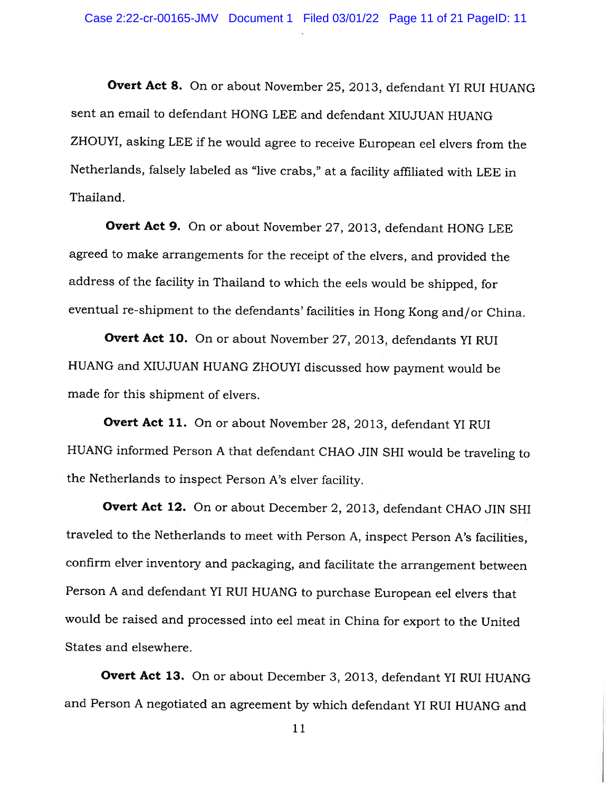Overt Act 8. On or about November 25, 2013, defendant YI RUI HUANG sent an email to defendant HONG LEE and defendant XIUJUAN HUANG ZHOUYI, asking LEE if he would agree to receive European eel dyers from the Netherlands, falsely labeled as "live crabs," at <sup>a</sup> facility affiliated with LEE in Thailand.

Overt Act 9. On or about November 27, 2013, defendant HONG LEE agreed to make arrangements for the receipt of the dyers, and provided the address of the facility in Thailand to which the eels would be shipped, for eventual re-shipment to the defendants' facilities in Hong Kong and/or China.

Overt Act 10. On or about November 27, 2013, defendants YI RUI HUANG and XIUJUAN HUANG ZHOUYI discussed how payment would be made for this shipment of elvers.

Overt Act 11. On or about November 28, 2013, defendant YI RUI HUANG informed Person <sup>A</sup> that defendant CHAO JIN SHI would be traveling to the Netherlands to inspect Person A's dyer facility.

Overt Act 12. On or about December 2, 2013, defendant CHAO JIN SHI traveled to the Netherlands to meet with Person A, inspect Person A's facilities, confirm elver inventory and packaging, and facilitate the arrangement between Person <sup>A</sup> and defendant YT RUT HUANG to purchase European eel elvers that would be raised and processed into eel meat in China for export to the United States and elsewhere.

Overt Act 13. On or about December 3, 2013, defendant YI RUI HUANG and Person <sup>A</sup> negotiated an agreement by which defendant Yl RUI HUANG and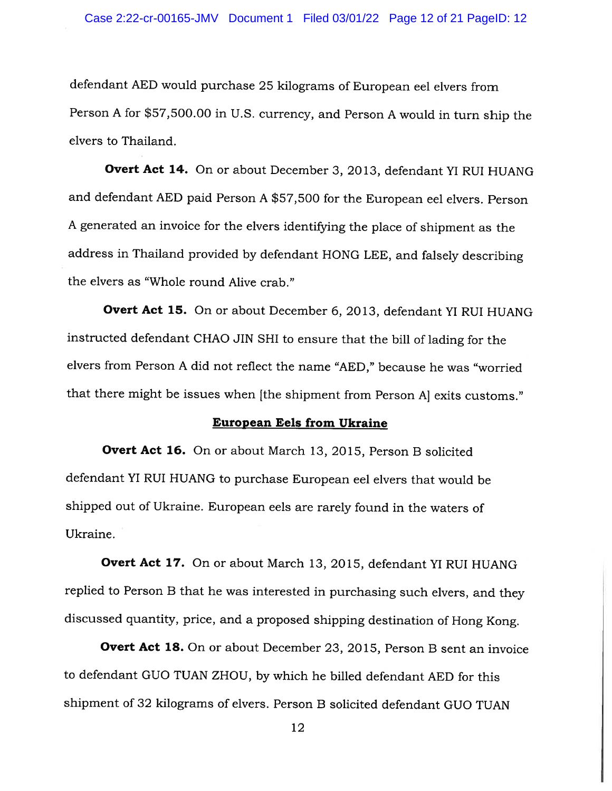defendant AED would purchase <sup>25</sup> kilograms of European eel dyers from Person <sup>A</sup> for \$57,500.00 in U.S. currency, and Person <sup>A</sup> would in turn ship the elvers to Thailand.

**Overt Act 14.** On or about December 3, 2013, defendant YI RUI HUANG and defendant AED paid Person <sup>A</sup> \$57,500 for the European eel elvers. Person <sup>A</sup> generated an invoice for the elvers identifying the <sup>p</sup>lace of shipment as the address in Thailand provided by defendant HONG LEE, and falsely describing the elvers as "Whole round Alive crab."

Overt Act 15. On or about December 6, 2013, defendant YI RUI HUANG instructed defendant CHAO JIN SRI to ensure that the bill of lading for the elvers from Person <sup>A</sup> did not reflect the name "AED," because he was "worried that there might be issues when [the shipment from Person A] exits customs."

#### European Eels from Ukraine

Overt Act 16. On or about March 13, 2015, Person B solicited defendant Yl RUT HUANG to purchase European eel dyers that would be shipped out of Ukraine. European eels are rarely found in the waters of Ukraine.

**Overt Act 17.** On or about March 13, 2015, defendant YI RUI HUANG replied to Person <sup>B</sup> that he was interested in purchasing such elvers, and they discussed quantity, price, and <sup>a</sup> proposed shipping destination of Hong Kong.

Overt Act 18. On or about December 23, 2015, Person B sent an invoice to defendant QUO TUAN ZHOU, by which he billed defendant AED for this shipment of 32 kilograms of elvers. Person <sup>B</sup> solicited defendant GUO TUAN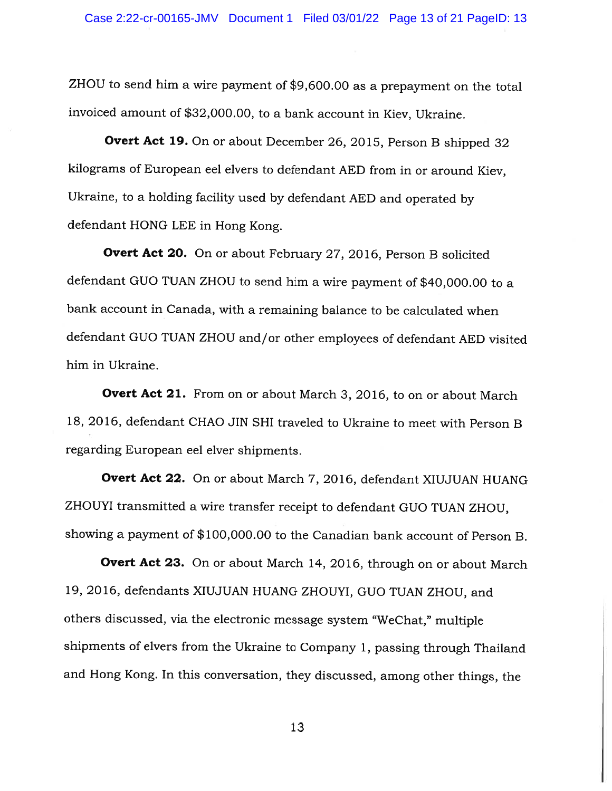ZHOU to send him <sup>a</sup> wire payment of \$9,600.00 as <sup>a</sup> prepayment on the total invoiced amount of \$32,000.00, to <sup>a</sup> bank account in Kiev, Ukraine.

Overt Act 19. On or about December 26, 2015, Person B shipped 32 kilograms of European eel elvers to defendant AED from in or around Kiev, Ukraine, to <sup>a</sup> holding facility used by defendant AED and operated by defendant HONG LEE in Hong Kong.

Overt Act 20. On or about February 27, 2016, Person <sup>B</sup> solicited defendant QUO TUAN ZHOU to send him <sup>a</sup> wire payment of \$40,000.00 to <sup>a</sup> bank account in Canada, with <sup>a</sup> remaining balance to be calculated when defendant QUO TUAN ZHOU and/or other employees of defendant AED visited him in Ukraine.

**Overt Act 21.** From on or about March 3, 2016, to on or about March 18, 2016, defendant CHAO JIN SHI traveled to Ukraine to meet with Person B regarding European eel elver shipments.

Overt Act 22. On or about March 7, 2016, defendant XIUJUAN HUANG ZHOUYI transmitted <sup>a</sup> wire transfer receipt to defendant QUO TUAN ZHOU, showing <sup>a</sup> payment of \$100,000.00 to the Canadian bank account of Person B.

Overt Act 23. On or about March 14, 2016, through on or about March 19, 2016, defendants XIUJUAN HUANG ZHOUYI, QUO TUAN ZHOU, and others discussed, via the electronic message system "WeChat," multiple shipments of elvers from the Ukraine to Company 1, passing through Thailand and Hong Kong. In this conversation, they discussed, among other things, the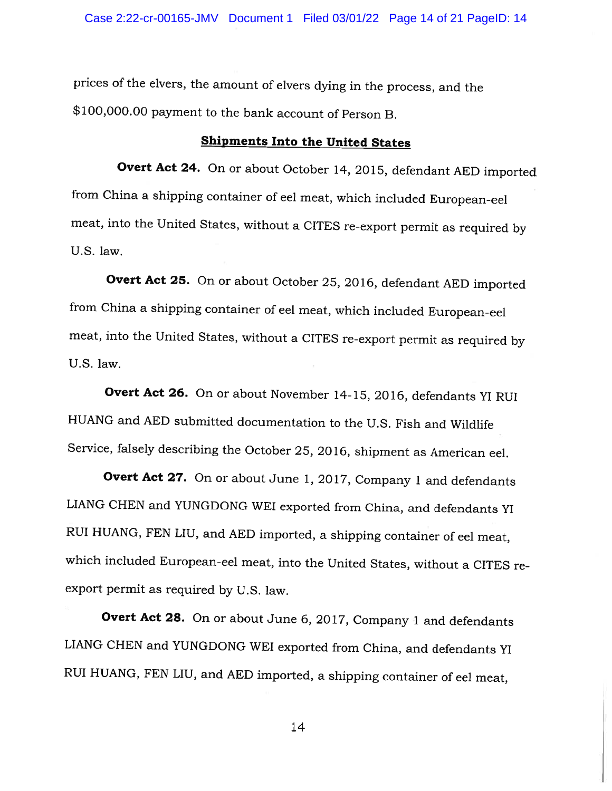prices of the dyers, the amount of elvers dying in the process, and the \$100,000.00 payment to the bank account of Person B.

# Shipments Into the United States

Overt Act 24. On or about October 14, 2015, defendant AED imported from China <sup>a</sup> shipping container of eel meat, which included European-eel meat, into the United States, without <sup>a</sup> CITES re-export permit as required by U.S. law.

Overt Act 25. On or about October 25, 2016, defendant AED imported from China <sup>a</sup> shipping container of eel meat, which included European-eel meat, into the United States, without <sup>a</sup> CITES re-export permit as required by U.S. law.

Overt Act 26. On or about November 14-15, 2016, defendants YI RUI HUANG and AED submitted documentation to the U.S. Fish and Wildlife Service, falsely describing the October 25, 2016, shipment as American eel.

Overt Act 27. On or about June 1, 2017, Company 1 and defendants LIANG CHEN and YUNGDONG WET exported from China, and defendants Yl RUT HUANG, FEN LIU, and AED imported, <sup>a</sup> shipping container of eel meat, which included European-eel meat, into the United States, without <sup>a</sup> CITES re export permit as required by U.S. law.

Overt Act 28. On or about June 6, 2017, Company 1 and defendants LIANG CHEN and YUNGDONG WEI exported from China, and defendants Yl RUI HUANG, FEN LIU, and AED imported, a shipping container of eel meat,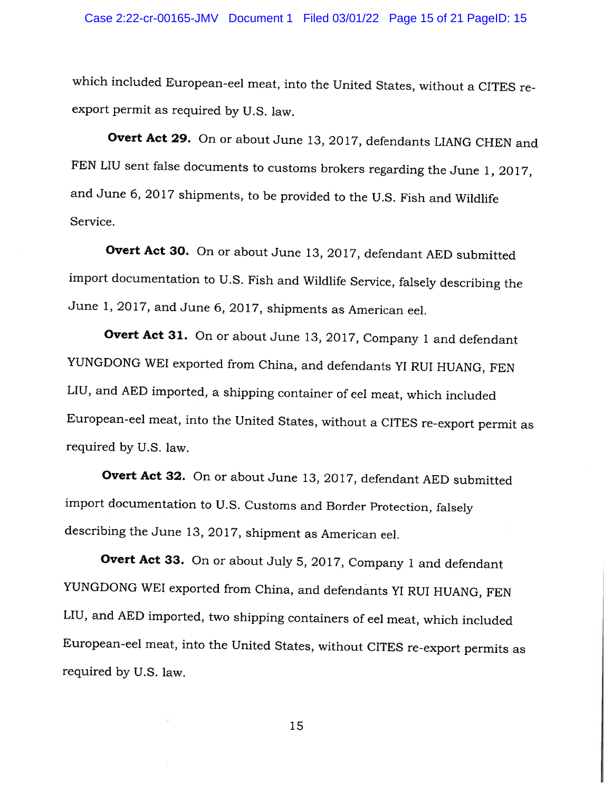which included European-eel meat, into the United States, without <sup>a</sup> CITES re export permit as required by U.S. law.

Overt Act 29. On or about June 13, 2017, defendants LIANG CHEN and FEN LIU sent false documents to customs brokers regarding the June 1, 2017, and June 6, <sup>2017</sup> shipments, to be provided to the U.S. Fish and Wildlife Service.

Overt Act 30. On or about June 13, 2017, defendant AED submitted import documentation to U.S. Fish and Wildlife Service, falsely describing the June 1, 2017, and June 6, 2017, shipments as American eel.

Overt Act 31. On or about June 13, 2017, Company 1 and defendant YUNGDONG WEI exported from China, and defendants YI RUI HUANG, FEN LIU, and AED imported, <sup>a</sup> shipping container of eel meat, which included European-eel meat, into the United States, without <sup>a</sup> CITES re-export permit as required by U.S. law.

Overt Act 32. On or about June 13, 2017, defendant AED submitted import documentation to U.S. Customs and Border Protection, falsely describing the June 13, 2017, shipment as American eel.

Overt Act 33. On or about July 5, 2017, Company 1 and defendant YUNGDONG WEI exported from China, and defendants Yl RUI HUANG, FEN LIU, and AED imported, two shipping containers of eel meat, which included European-eel meat, into the United States, without CITES re-export permits as required by U.S. law.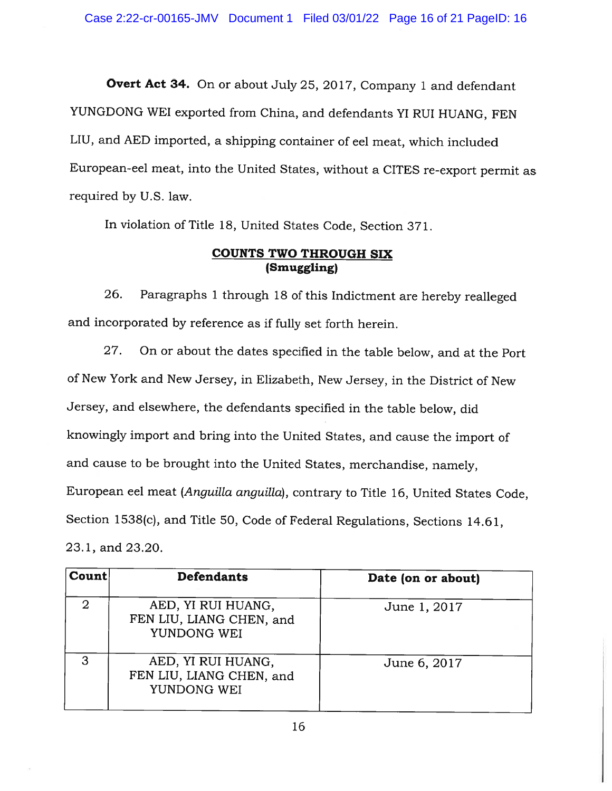**Overt Act 34.** On or about July 25, 2017, Company 1 and defendant YUNGDONG WEI exported from China, and defendants YI RUI HUANG, FEN LIU, and AED imported, <sup>a</sup> shipping container of eel meat, which included European-eel meat, into the United States, without <sup>a</sup> CITES re-export permit as required by U.S. law.

In violation of Title 18, United States Code, Section 371.

# COUNTS TWO THROUGH SIX (Smuggling)

26. Paragraphs <sup>1</sup> through <sup>18</sup> of this Indictment are hereby realleged and incorporated by reference as if fully set forth herein.

27. On or about the dates specified in the table below, and at the Port of New York and New Jersey, in Elizabeth, New Jersey, in the District of New Jersey, and elsewhere, the defendants specified in the table below, did knowingly import and bring into the United States, and cause the import of and cause to be brought into the United States, merchandise, namely, European eel meat (Anguilla anguilla), contrary to Title 16, United States Code, Section 1538(c), and Title 50, Code of Federal Regulations, Sections 14.61, 23.1, and 23.20.

| <b>Count</b> | <b>Defendants</b>                                             | Date (on or about) |
|--------------|---------------------------------------------------------------|--------------------|
| റ            | AED, YI RUI HUANG,<br>FEN LIU, LIANG CHEN, and<br>YUNDONG WEI | June 1, 2017       |
| 3            | AED, YI RUI HUANG,<br>FEN LIU, LIANG CHEN, and<br>YUNDONG WEI | June 6, 2017       |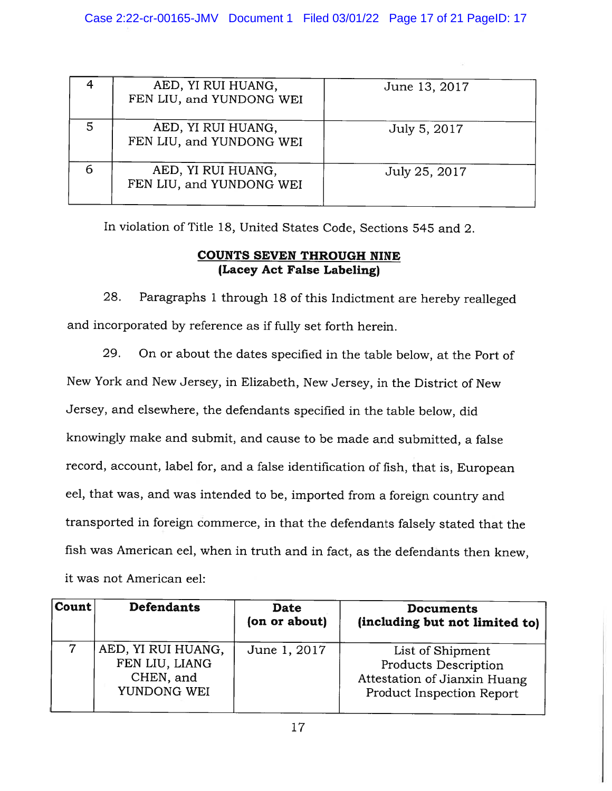|   | AED, YI RUI HUANG,<br>FEN LIU, and YUNDONG WEI | June 13, 2017 |
|---|------------------------------------------------|---------------|
|   | AED, YI RUI HUANG,<br>FEN LIU, and YUNDONG WEI | July 5, 2017  |
| 6 | AED, YI RUI HUANG,<br>FEN LIU, and YUNDONG WEI | July 25, 2017 |

In violation of Title 18, United States Code, Sections 545 and 2.

# COUNTS SEVEN THROUGH NINE (Lacey Act False Labeling)

28. Paragraphs <sup>1</sup> through <sup>18</sup> of this Indictment are hereby realleged and incorporated by reference as if fully set forth herein.

29. On or about the dates specified in the table below, at the Port of New York and New Jersey, in Elizabeth, New Jersey, in the District of New Jersey, and elsewhere, the defendants specified in the table below, did knowingly make and submit, and cause to be made and submitted, <sup>a</sup> false record, account, label for, and <sup>a</sup> false identification of fish, that is, European eel, that was, and was intended to be, imported from <sup>a</sup> foreign country and transported in foreign commerce, in that the defendants falsely stated that the fish was American eel, when in truth and in fact, as the defendants then knew, it was not American eel:

| Count | <b>Defendants</b>                                                | Date<br>(on or about) | <b>Documents</b><br>(including but not limited to)                                                                  |
|-------|------------------------------------------------------------------|-----------------------|---------------------------------------------------------------------------------------------------------------------|
|       | AED, YI RUI HUANG,<br>FEN LIU, LIANG<br>CHEN, and<br>YUNDONG WEI | June 1, 2017          | List of Shipment<br><b>Products Description</b><br>Attestation of Jianxin Huang<br><b>Product Inspection Report</b> |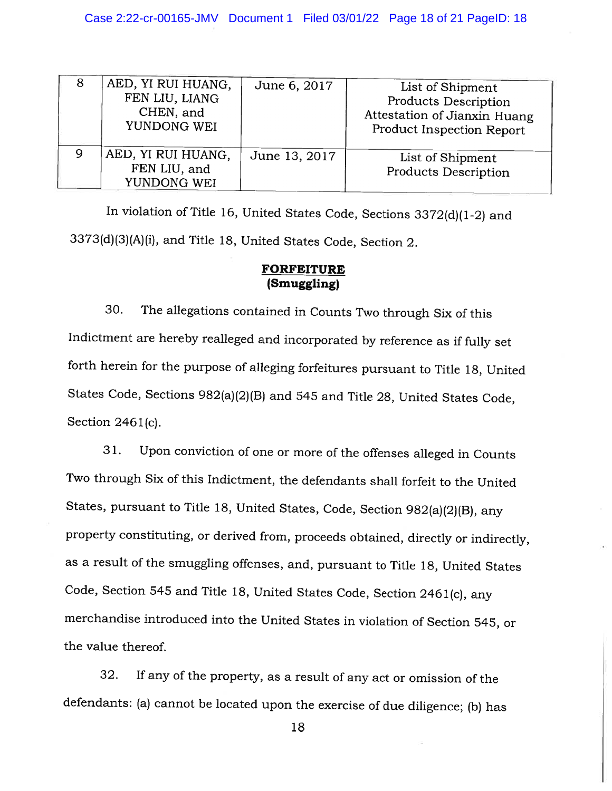| 8 | AED, YI RUI HUANG,<br>FEN LIU, LIANG<br>CHEN, and<br>YUNDONG WEI | June 6, 2017  | List of Shipment<br><b>Products Description</b><br>Attestation of Jianxin Huang<br>Product Inspection Report |
|---|------------------------------------------------------------------|---------------|--------------------------------------------------------------------------------------------------------------|
| 9 | AED, YI RUI HUANG,<br>FEN LIU, and<br>YUNDONG WEI                | June 13, 2017 | List of Shipment<br><b>Products Description</b>                                                              |

In violation of Title 16, United States Code, Sections 3372(d)(1-2) and 3373(d)(3)(A)(i), and Title 18, United States Code, Section 2.

#### FORFEITURE (Smuggling)

30. The allegations contained in Counts Two through Six of this Indictment are hereby realleged and incorporated by reference as if fully set forth herein for the purpose of alleging forfeitures pursuant to Title 18, United States Code, Sections 982(a)(2)(B) and <sup>545</sup> and Title 28, United States Code, Section 2461(c).

31. Upon conviction of one or more of the offenses alleged in Counts Two through Six of this Indictment, the defendants shall forfeit to the United States, pursuant to Title 18, United States, Code, Section 982(a)(2)(B), any property constituting, or derived from, proceeds obtained, directly or indirectly, as <sup>a</sup> result of the smuggling offenses, and, pursuant to Title 18, United States Code, Section <sup>545</sup> and Title 18, United States Code, Section <sup>246</sup> 1(c), any merchandise introduced into the United States in violation of Section 545, or the value thereof.

32. If any of the property, as <sup>a</sup> result of any act or omission of the defendants: (a) cannot be located upon the exercise of due diligence; (b) has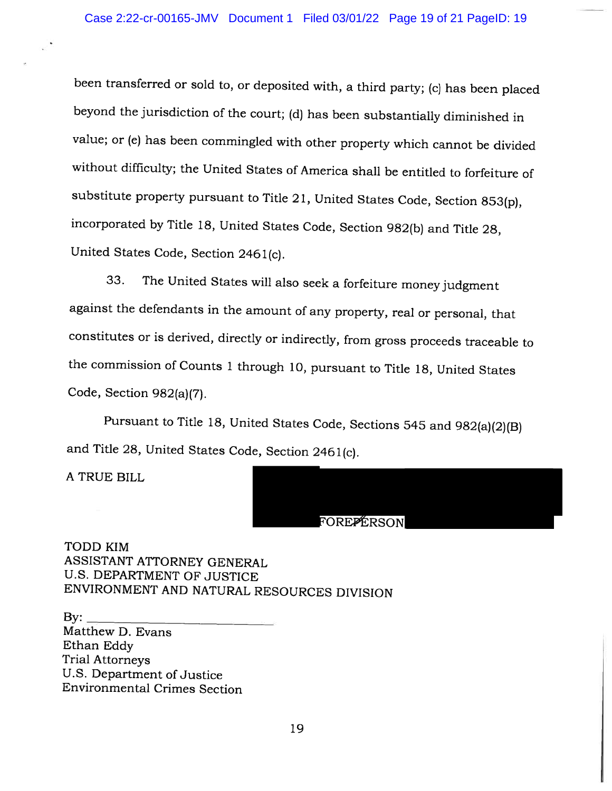been transferred or sold to, or deposited with, <sup>a</sup> third party; (c) has been <sup>p</sup>laced beyond the jurisdiction of the court; (d) has been substantially diminished in value; or (e) has been commingled with other property which cannot be divided without difficulty; the United States of America shall be entitled to forfeiture of substitute property pursuant to Title 21, United States Code, Section 853(p), incorporated by Title 18, United States Code, Section 982(b) and Title 28, United States Code, Section <sup>246</sup> 1(c).

33. The United States will also seek <sup>a</sup> forfeiture money judgment against the defendants in the amount of any property, real or personal, that constitutes or is derived, directly or indirectly, from gross proceeds traceable to the commission of Counts <sup>1</sup> through 10, pursuant to Title 18, United States Code, Section 982(a)(7).

Pursuant to Title 18, United States Code, Sections <sup>545</sup> and 982(a)(2)(B) and Title 28, United States Code, Section <sup>246</sup> 1(c).

A TRUE BILL

#### FOREPERSON

TODD KIM ASSISTANT ATTORNEY GENERAL U.S. DEPARTMENT OF JUSTICE ENVIRONMENT AND NATURAL RESOURCES DIVISION

By: Matthew D. Evans Ethan Eddy Trial Attorneys U.S. Department of Justice Environmental Crimes Section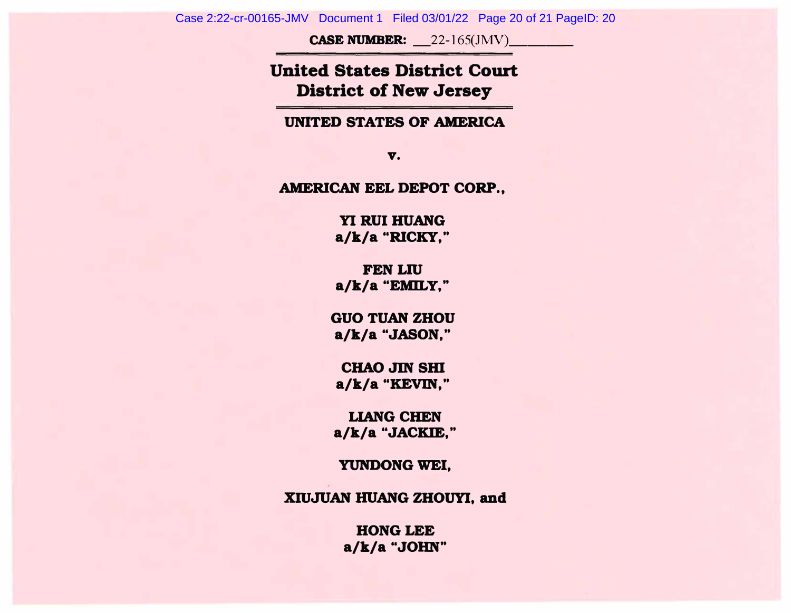**CASE NUMBER:** 22-165(JMV)

# **United States District Court District of New Jersey**

**UNITED STATES OF AMERICA** 

**v.** 

**AMERICAN EEL DEPOT CORP.,** 

**YI RUI HUANG a/k/a "RICKY,"** 

**FEN LW a/k/a "EMILY,"** 

**GUO TUAN ZHOU a/k/a "JASON,"** 

**CHAO JIN SHI a/k/a "KEVIN,"** 

**LIANG CHEN a/k/a "JACKIE,"** 

**YUNDONG WEI,** 

**XIUJUAN HUANG ZHOUYI, and** 

**HONG LEE a/k/a "JOHN"**